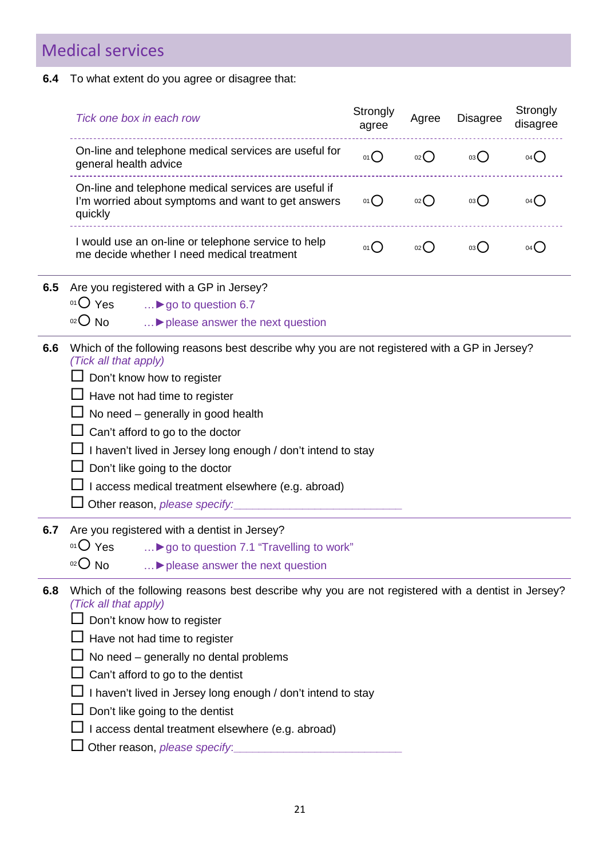# Medical services

#### **6.4** To what extent do you agree or disagree that:

|     | Tick one box in each row                                                                                                                                                                                                                                                                                                                                                                                                                                | Strongly<br>agree | Agree | <b>Disagree</b> | Strongly<br>disagree |
|-----|---------------------------------------------------------------------------------------------------------------------------------------------------------------------------------------------------------------------------------------------------------------------------------------------------------------------------------------------------------------------------------------------------------------------------------------------------------|-------------------|-------|-----------------|----------------------|
|     | On-line and telephone medical services are useful for<br>general health advice                                                                                                                                                                                                                                                                                                                                                                          | 01()              | 02    | 03()            | 04()                 |
|     | On-line and telephone medical services are useful if<br>I'm worried about symptoms and want to get answers<br>quickly                                                                                                                                                                                                                                                                                                                                   | 01()              | 02    | 03              | 04()                 |
|     | I would use an on-line or telephone service to help<br>me decide whether I need medical treatment                                                                                                                                                                                                                                                                                                                                                       | O(1)              | 02    | 03              | 04()                 |
| 6.5 | Are you registered with a GP in Jersey?<br>$01O$ Yes<br>I go to question 6.7<br>$02O$ No<br>I please answer the next question                                                                                                                                                                                                                                                                                                                           |                   |       |                 |                      |
| 6.6 | Which of the following reasons best describe why you are not registered with a GP in Jersey?<br>(Tick all that apply)<br>Don't know how to register<br>Have not had time to register<br>No need - generally in good health<br>Can't afford to go to the doctor<br>I haven't lived in Jersey long enough / don't intend to stay<br>Don't like going to the doctor<br>I access medical treatment elsewhere (e.g. abroad)<br>Other reason, please specify: |                   |       |                 |                      |
| 6.7 | Are you registered with a dentist in Jersey?<br>$01O$ Yes<br>I go to question 7.1 "Travelling to work"<br>$O02$ No<br>> please answer the next question                                                                                                                                                                                                                                                                                                 |                   |       |                 |                      |
| 6.8 | Which of the following reasons best describe why you are not registered with a dentist in Jersey?<br>(Tick all that apply)<br>Don't know how to register<br>Have not had time to register<br>No need - generally no dental problems<br>Can't afford to go to the dentist<br>I haven't lived in Jersey long enough / don't intend to stay<br>Don't like going to the dentist<br>I access dental treatment elsewhere (e.g. abroad)                        |                   |       |                 |                      |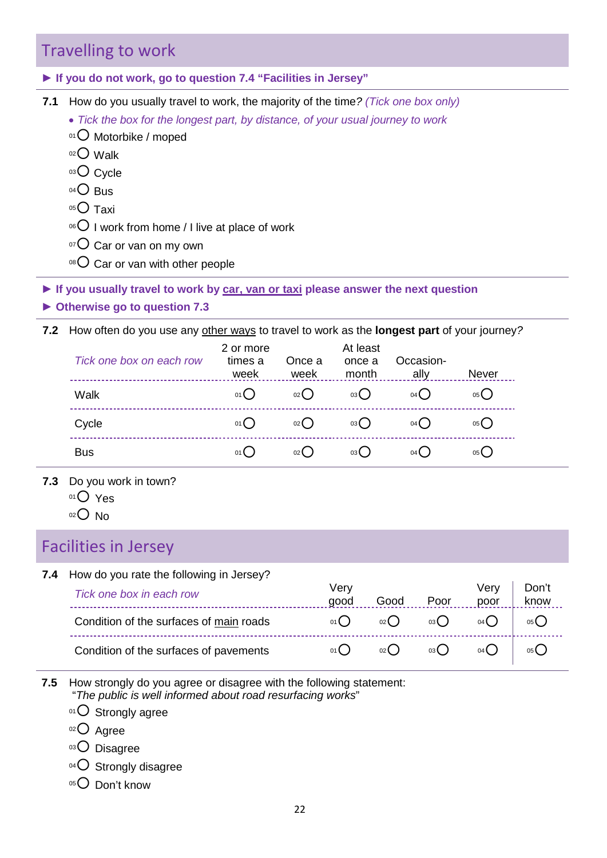# Travelling to work

**► If you do not work, go to question 7.4 "Facilities in Jersey"** 

**7.1** How do you usually travel to work, the majority of the time*? (Tick one box only)*

- *Tick the box for the longest part, by distance, of your usual journey to work*
- 01 O Motorbike / moped
- $02$  Walk
- 03 Cycle
- $04$  Bus
- $05$  Taxi
- $06$  I work from home / I live at place of work
- $107$  Car or van on my own
- $08$  Car or van with other people

**► If you usually travel to work by car, van or taxi please answer the next question**

**► Otherwise go to question 7.3**

| $\circ$ <sup>o8</sup> $\bigcirc$ Car or van with other people                                                                                                                                                                   |                              |                |                             |        |                   |                   |               |
|---------------------------------------------------------------------------------------------------------------------------------------------------------------------------------------------------------------------------------|------------------------------|----------------|-----------------------------|--------|-------------------|-------------------|---------------|
| you usually travel to work by car, van or taxi please answer the next question.<br>therwise go to question 7.3                                                                                                                  |                              |                |                             |        |                   |                   |               |
| How often do you use any other ways to travel to work as the longest part of your journey?                                                                                                                                      |                              |                |                             |        |                   |                   |               |
| Tick one box on each row<br>__________________________                                                                                                                                                                          | 2 or more<br>times a<br>week | Once a<br>week | At least<br>once a<br>month |        | Occasion-<br>ally | Never             |               |
| Walk                                                                                                                                                                                                                            | 01                           | O <sub>2</sub> | 03O                         |        | $04$ $\bigcirc$   | $05$ <sup>O</sup> |               |
| Cycle                                                                                                                                                                                                                           | 01()                         | 02O            | $03$ <sup>O</sup>           |        | 04()              | 05()              |               |
| <b>Bus</b>                                                                                                                                                                                                                      | $01$ $\bigcirc$              | O(20)          | $03\bigcirc$                |        | 04()              | $05$ <sup>O</sup> |               |
| Do you work in town?<br>$01O$ Yes<br>$O02$ No                                                                                                                                                                                   |                              |                |                             |        |                   |                   |               |
| cilities in Jersey                                                                                                                                                                                                              |                              |                |                             |        |                   |                   |               |
| How do you rate the following in Jersey?<br>Tick one box in each row                                                                                                                                                            |                              |                | Very<br>good                | Good   | Poor              | Very<br>poor      | Don't<br>know |
| Condition of the surfaces of main roads                                                                                                                                                                                         |                              |                | 01()                        | 02     | 03()              | $04$ <sup>O</sup> | 05()          |
| $\sim$ 1992 . The contract of the contract of the contract of the contract of the contract of the contract of the contract of the contract of the contract of the contract of the contract of the contract of the contract of t |                              |                | $\sim$                      | $\sim$ | $\sim$            | ⌒                 | ⌒             |

- **7.3** Do you work in town?
	- 01<sup>O</sup> Yes
	- $02$  No

# Facilities in Jersey

**7.4** How do you rate the following in Jersey?

| Tick one box in each row                | Verv<br>qood | Good       | Poor | Verv<br>poor  | Don't<br>know |  |
|-----------------------------------------|--------------|------------|------|---------------|---------------|--|
| Condition of the surfaces of main roads | $01$ $($     | $_{02}( )$ | 03() | $04$ $\left($ | 05()          |  |
| Condition of the surfaces of pavements  | 01(          | $_{02}( )$ | 03() | 04(           | 05()          |  |

**7.5** How strongly do you agree or disagree with the following statement: "*The public is well informed about road resurfacing works*"

 $01$  Strongly agree

- $02$  Agree
- 03 Disagree
- 04 O Strongly disagree
- 05<sup>O</sup> Don't know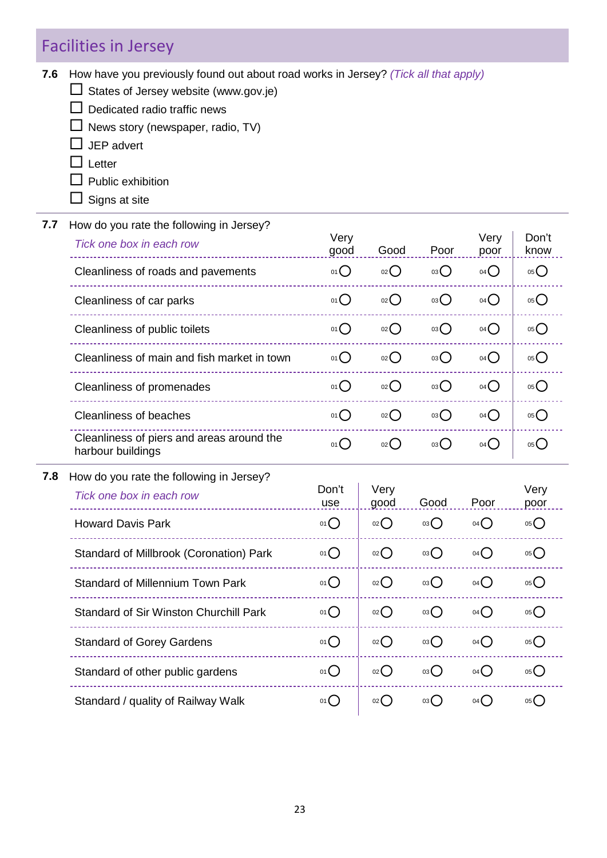# Facilities in Jersey

**7.6** How have you previously found out about road works in Jersey? *(Tick all that apply)*

States of Jersey website (www.gov.je)

- $\square$  Dedicated radio traffic news
- $\Box$  News story (newspaper, radio, TV)
- $\Box$  JEP advert
- $\Box$  Letter
- $\square$  Public exhibition
- $\Box$  Signs at site
- **7.7** How do you rate the following in Jersey?

| Tick one box in each row                                       | Very<br>good      | Good               | Poor            | Very<br>poor      | Don't<br>know     |  |
|----------------------------------------------------------------|-------------------|--------------------|-----------------|-------------------|-------------------|--|
| Cleanliness of roads and pavements                             | $01$ $\bigcirc$   | 02                 | $03\bigcirc$    | $04$ $\bigcirc$   | 05                |  |
| Cleanliness of car parks                                       | 01()              | 02                 | 03 <sup>o</sup> | $04$ $\bigcirc$   | 05                |  |
| Cleanliness of public toilets                                  | 01()              | 02                 | 03 <sup>o</sup> | $04$ $\bigcirc$   | 05                |  |
| Cleanliness of main and fish market in town                    | $01$ <sup>O</sup> | 02                 | 03              | $04$ $\bigcirc$   | $05$ <sup>O</sup> |  |
| Cleanliness of promenades                                      | 01()              | $02$ $\bigcirc$    | 03              | $04$ $\bigcirc$   | 05()              |  |
| <b>Cleanliness of beaches</b>                                  | $01$ $\bigcirc$   | 02()               | 03()            | $04$ $\bigcirc$   | $05$ <sup>O</sup> |  |
| Cleanliness of piers and areas around the<br>harbour buildings | $01$ <sup>O</sup> | $_{02}$ $\bigcirc$ | 03()            | 04()              | $05$ <sup>O</sup> |  |
| How do you rate the following in Jersey?                       |                   |                    |                 |                   |                   |  |
| Tick one box in each row                                       | Don't<br>use      | Very<br>good       | Good            | Poor              | Very<br>poor      |  |
| <b>Howard Davis Park</b>                                       | $01$ $\bigcirc$   | 02                 | 03              | 04()              | 05                |  |
| Standard of Millbrook (Coronation) Park                        | 01()              | 02()               | 03()            | 04()              | 05()              |  |
| Standard of Millennium Town Park                               | 01                | $02$ $\bigcirc$    | 03()            | 04()              | $05$ <sup>O</sup> |  |
| <b>Standard of Sir Winston Churchill Park</b>                  | 01                | 02                 | 03              | 04()              | 05                |  |
| <b>Standard of Gorey Gardens</b>                               | 01()              | 02                 | 03()            | $04$ <sup>O</sup> | 05                |  |

**7.8** How do you rate the following in Jersey?

| Tick one box in each row                      | Don't<br>use    | Very<br>good      | Good | Poor | Very<br>poor |
|-----------------------------------------------|-----------------|-------------------|------|------|--------------|
| <b>Howard Davis Park</b>                      | 01()            | 02()              | 03() | 04() | 05           |
| Standard of Millbrook (Coronation) Park       | 01()            | $_{02}$ $\bigcap$ | 03() | 04() | 05           |
| <b>Standard of Millennium Town Park</b>       | $01$ $\bigcirc$ | 02()              | 03() | 04() | 05           |
| <b>Standard of Sir Winston Churchill Park</b> | 01()            | 02()              | 03() | 04() | 05()         |
| <b>Standard of Gorey Gardens</b>              | $01$ $\bigcirc$ | 02()              | 03() | 04() | 05           |
| Standard of other public gardens              | 01()            | $_{02}( )$        | 03() | 04() | 05           |
| Standard / quality of Railway Walk            | 01()            | 02()              | 03() | 04() | 05()         |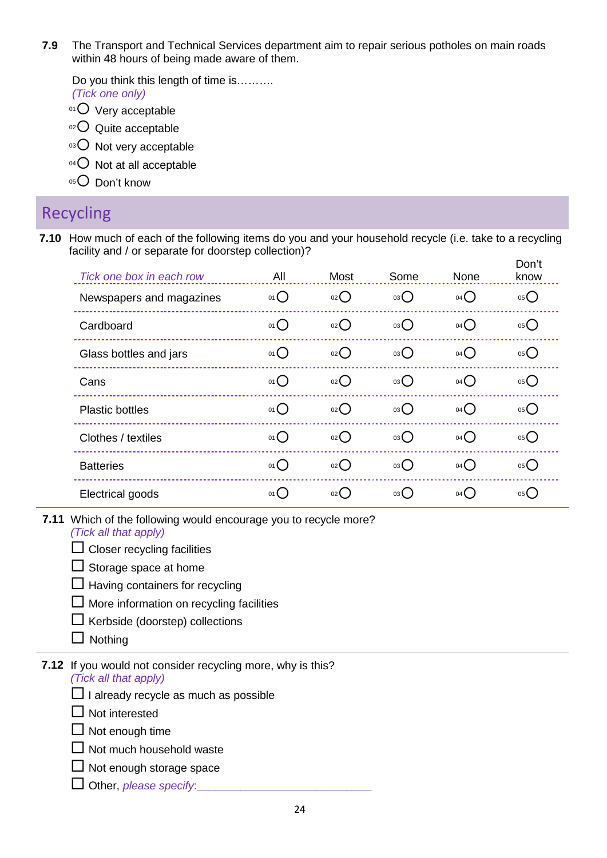**7.9** The Transport and Technical Services department aim to repair serious potholes on main roads within 48 hours of being made aware of them.

Do you think this length of time is………. *(Tick one only)*

- $01$  Very acceptable
- $02$  Quite acceptable
- $03$  Not very acceptable
- $04$  Not at all acceptable
- 05<sup>O</sup> Don't know

#### Recycling

**7.10** How much of each of the following items do you and your household recycle (i.e. take to a recycling facility and / or separate for doorstep collection)?

| facility and / or separate for doorstep collection)?<br>Don't |                                                             |                     |                   |                   |      |  |  |  |  |
|---------------------------------------------------------------|-------------------------------------------------------------|---------------------|-------------------|-------------------|------|--|--|--|--|
| Tick one box in each row                                      | All                                                         | Most                | Some              | None              | know |  |  |  |  |
| Newspapers and magazines                                      | 01                                                          | 02                  | $03\bigcirc$      | $04$ <sup>O</sup> | 05   |  |  |  |  |
| Cardboard                                                     | 01()                                                        | O(2C)               | 03O               | $04$ $\bigcirc$   | 05() |  |  |  |  |
| Glass bottles and jars                                        | 01()                                                        | 02()                | 03C               | $04$ $\bigcirc$   | 05() |  |  |  |  |
| Cans                                                          | 01()                                                        | 02                  | 03O               | $04$ $\bigcirc$   | 05   |  |  |  |  |
| <b>Plastic bottles</b>                                        | $01$ <sup>O</sup>                                           | $02$ $\binom{1}{2}$ | $03$ <sup>O</sup> | 04()              | 05() |  |  |  |  |
| Clothes / textiles                                            | 01                                                          | 02                  | 03 <sup>o</sup>   | $04$ <sup>O</sup> | 05() |  |  |  |  |
| <b>Batteries</b>                                              | $01$ $\bigcirc$                                             | $_{02}$ $\bigcirc$  | 03()              | 04()              | 05() |  |  |  |  |
| Electrical goods                                              | 01                                                          | $_{02}$ $\bigcirc$  | $03$ $\bigcirc$   | $04$ <sup>O</sup> | 05() |  |  |  |  |
| (Tick all that apply)                                         | Which of the following would encourage you to recycle more? |                     |                   |                   |      |  |  |  |  |
| Closer recycling facilities                                   |                                                             |                     |                   |                   |      |  |  |  |  |
| $\Box$ Storage space at home                                  |                                                             |                     |                   |                   |      |  |  |  |  |
| Having containers for recycling                               |                                                             |                     |                   |                   |      |  |  |  |  |
| More information on recycling facilities                      |                                                             |                     |                   |                   |      |  |  |  |  |
| Kerbside (doorstep) collections                               |                                                             |                     |                   |                   |      |  |  |  |  |
| Nothing                                                       |                                                             |                     |                   |                   |      |  |  |  |  |

**7.11** Which of the following would encourage you to recycle more?

- $\square$  Storage space at home
- $\Box$  Having containers for recycling
- $\Box$  More information on recycling facilities
- $\Box$  Kerbside (doorstep) collections
- $\Box$  Nothing
- **7.12** If you would not consider recycling more, why is this?

*(Tick all that apply)*

- $\Box$  I already recycle as much as possible
- $\Box$  Not interested
- $\Box$  Not enough time
- $\Box$  Not much household waste
- $\Box$  Not enough storage space
- Other, *please specify*:**\_\_\_\_\_\_\_\_\_\_\_\_\_\_\_\_\_\_\_\_\_\_\_\_\_\_\_\_**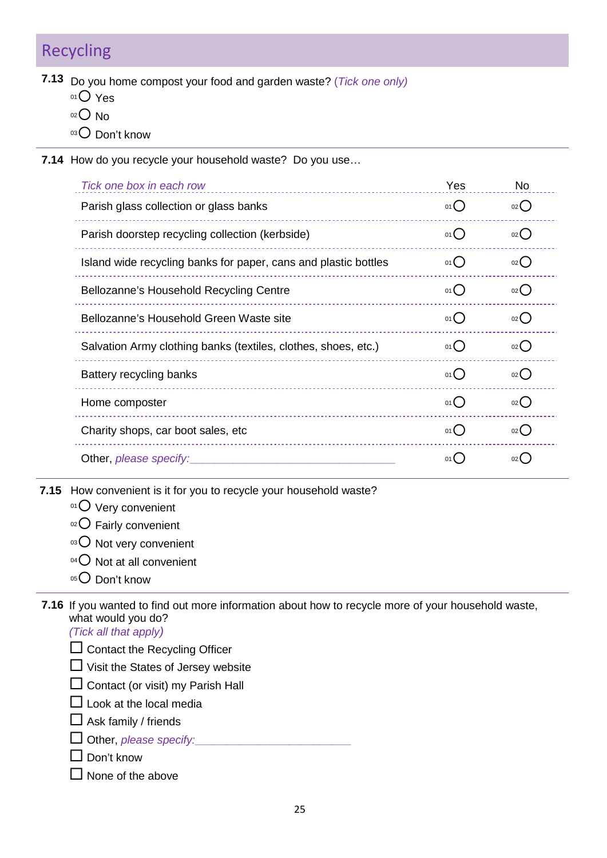# Recycling

- **7.13** Do you home compost your food and garden waste? (*Tick one only)*
	- 01 Yes
	- $02$  No
	- 03 Don't know
- **7.14** How do you recycle your household waste? Do you use…

| Tick one box in each row                                                                                                                                                                                                                                                                                                                                                                                                                                                                                                             | Yes                                  | <b>No</b>          |
|--------------------------------------------------------------------------------------------------------------------------------------------------------------------------------------------------------------------------------------------------------------------------------------------------------------------------------------------------------------------------------------------------------------------------------------------------------------------------------------------------------------------------------------|--------------------------------------|--------------------|
| Parish glass collection or glass banks                                                                                                                                                                                                                                                                                                                                                                                                                                                                                               | 01()                                 | $_{02}$ $\bigcirc$ |
| Parish doorstep recycling collection (kerbside)                                                                                                                                                                                                                                                                                                                                                                                                                                                                                      | 01                                   | 02                 |
| Island wide recycling banks for paper, cans and plastic bottles                                                                                                                                                                                                                                                                                                                                                                                                                                                                      | 01                                   | 02                 |
| Bellozanne's Household Recycling Centre                                                                                                                                                                                                                                                                                                                                                                                                                                                                                              | $01$ <sup><math>\degree</math></sup> | $_{02}$ $\bigcap$  |
| Bellozanne's Household Green Waste site                                                                                                                                                                                                                                                                                                                                                                                                                                                                                              | $01$ <sup>O</sup>                    | 02                 |
| Salvation Army clothing banks (textiles, clothes, shoes, etc.)                                                                                                                                                                                                                                                                                                                                                                                                                                                                       | 01C                                  | $02$ $\bigcirc$    |
| Battery recycling banks                                                                                                                                                                                                                                                                                                                                                                                                                                                                                                              | 01()                                 | 02                 |
| Home composter                                                                                                                                                                                                                                                                                                                                                                                                                                                                                                                       | 01()                                 | $_{02}$ $\bigcirc$ |
| Charity shops, car boot sales, etc                                                                                                                                                                                                                                                                                                                                                                                                                                                                                                   | 01()                                 | $_{02}$ $\bigcap$  |
| Other, please specify:                                                                                                                                                                                                                                                                                                                                                                                                                                                                                                               | 01()                                 | 02                 |
| How convenient is it for you to recycle your household waste?<br>$01$ Very convenient<br>$O02$ Fairly convenient<br>03 O Not very convenient<br>$04$ Not at all convenient<br>05 O Don't know                                                                                                                                                                                                                                                                                                                                        |                                      |                    |
| If you wanted to find out more information about how to recycle more of your household waste,<br>what would you do?<br>(Tick all that apply)<br>$\overline{a}$ $\overline{a}$ $\overline{a}$ $\overline{a}$ $\overline{a}$ $\overline{a}$ $\overline{a}$ $\overline{a}$ $\overline{a}$ $\overline{a}$ $\overline{a}$ $\overline{a}$ $\overline{a}$ $\overline{a}$ $\overline{a}$ $\overline{a}$ $\overline{a}$ $\overline{a}$ $\overline{a}$ $\overline{a}$ $\overline{a}$ $\overline{a}$ $\overline{a}$ $\overline{a}$ $\overline{$ |                                      |                    |

- **7.15** How convenient is it for you to recycle your household waste?
	- $01$  Very convenient
	- 02 Fairly convenient
	- 03 O Not very convenient
	- 04 O Not at all convenient
	- 05<sup>O</sup> Don't know

**7.16** If you wanted to find out more information about how to recycle more of your household waste, what would you do?

- $\square$  Contact the Recycling Officer
- $\Box$  Visit the States of Jersey website
- $\square$  Contact (or visit) my Parish Hall
- $\Box$  Look at the local media
- $\Box$  Ask family / friends
- Other, *please specify:***\_\_\_\_\_\_\_\_\_\_\_\_\_\_\_\_\_\_\_\_\_\_\_\_\_**
- $\square$  Don't know
- $\Box$  None of the above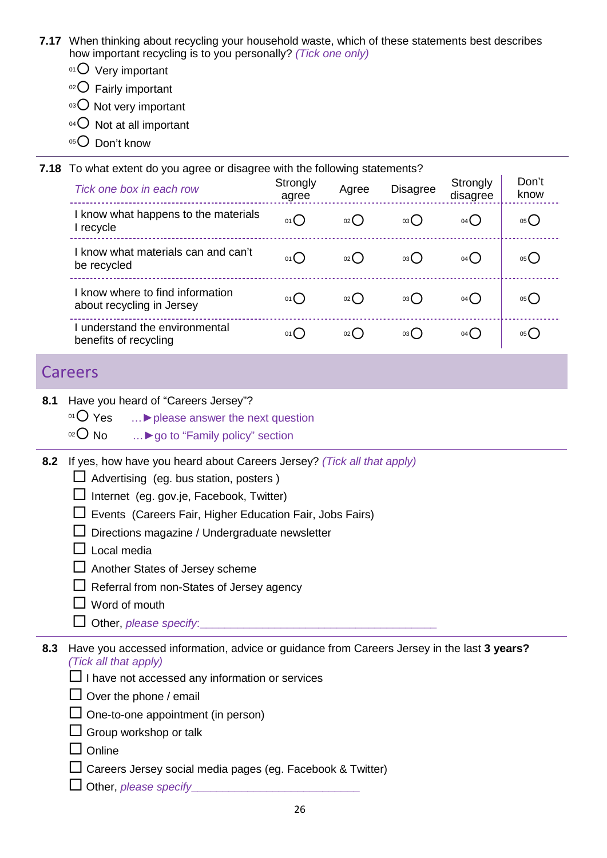- **7.17** When thinking about recycling your household waste, which of these statements best describes how important recycling is to you personally? *(Tick one only)*
	- $01$  Very important
	- $02$  Fairly important
	- $03$  Not very important
	- $04$  Not at all important
	- $05$  Don't know

|     | 7.18 To what extent do you agree or disagree with the following statements?                                                                                                                                                                                                                                                                                                                                          |                   |       |                 |                      |                   |  |  |  |
|-----|----------------------------------------------------------------------------------------------------------------------------------------------------------------------------------------------------------------------------------------------------------------------------------------------------------------------------------------------------------------------------------------------------------------------|-------------------|-------|-----------------|----------------------|-------------------|--|--|--|
|     | Tick one box in each row                                                                                                                                                                                                                                                                                                                                                                                             | Strongly<br>agree | Agree | <b>Disagree</b> | Strongly<br>disagree | Don't<br>know     |  |  |  |
|     | I know what happens to the materials<br>I recycle                                                                                                                                                                                                                                                                                                                                                                    | 01()              | O(2C) | 03()            | $04$ $\bigcirc$      | $05$ <sup>O</sup> |  |  |  |
|     | I know what materials can and can't<br>be recycled                                                                                                                                                                                                                                                                                                                                                                   | 01()              | 02    | 03()            | 04()                 | 05()              |  |  |  |
|     | I know where to find information<br>about recycling in Jersey                                                                                                                                                                                                                                                                                                                                                        | 01()              | O(2)  | 03<             | 04                   | 05()              |  |  |  |
|     | I understand the environmental<br>benefits of recycling                                                                                                                                                                                                                                                                                                                                                              | 01()              | 02    | 03()            | $04$ <sup>O</sup>    | 05()              |  |  |  |
|     | Careers                                                                                                                                                                                                                                                                                                                                                                                                              |                   |       |                 |                      |                   |  |  |  |
| 8.1 | Have you heard of "Careers Jersey"?<br>$O1O$ Yes<br>> please answer the next question<br>$O(10^{-12})$<br>I go to "Family policy" section                                                                                                                                                                                                                                                                            |                   |       |                 |                      |                   |  |  |  |
| 8.2 | If yes, how have you heard about Careers Jersey? (Tick all that apply)<br>Advertising (eg. bus station, posters)<br>Internet (eg. gov.je, Facebook, Twitter)<br>Events (Careers Fair, Higher Education Fair, Jobs Fairs)<br>Directions magazine / Undergraduate newsletter<br>Local media<br>Another States of Jersey scheme<br>Referral from non-States of Jersey agency<br>Word of mouth<br>Other, please specify. |                   |       |                 |                      |                   |  |  |  |
|     | Llouguau ceannad information, advise ar quidence from Coronra Jeropula the leat 3 years 2                                                                                                                                                                                                                                                                                                                            |                   |       |                 |                      |                   |  |  |  |

#### Careers

- <sup>02</sup> No …► go to "Family policy" section
- **8.2** If yes, how have you heard about Careers Jersey? *(Tick all that apply)*
	- $\Box$  Advertising (eg. bus station, posters)
	- $\Box$  Internet (eq. gov.je, Facebook, Twitter)
	- $\square$  Events (Careers Fair, Higher Education Fair, Jobs Fairs)
	- $\square$  Directions magazine / Undergraduate newsletter
	- $\Box$  Local media
	- □ Another States of Jersey scheme
	- $\Box$  Referral from non-States of Jersey agency
	- $\Box$  Word of mouth
	- Other, *please specify*:
- **8.3** Have you accessed information, advice or guidance from Careers Jersey in the last **3 years?** *(Tick all that apply)*
	- $\square$  I have not accessed any information or services
	- $\Box$  Over the phone / email
	- $\Box$  One-to-one appointment (in person)
	- $\Box$  Group workshop or talk
	- $\Box$  Online
	- $\Box$  Careers Jersey social media pages (eg. Facebook & Twitter)
	- $\Box$  Other, *please specify*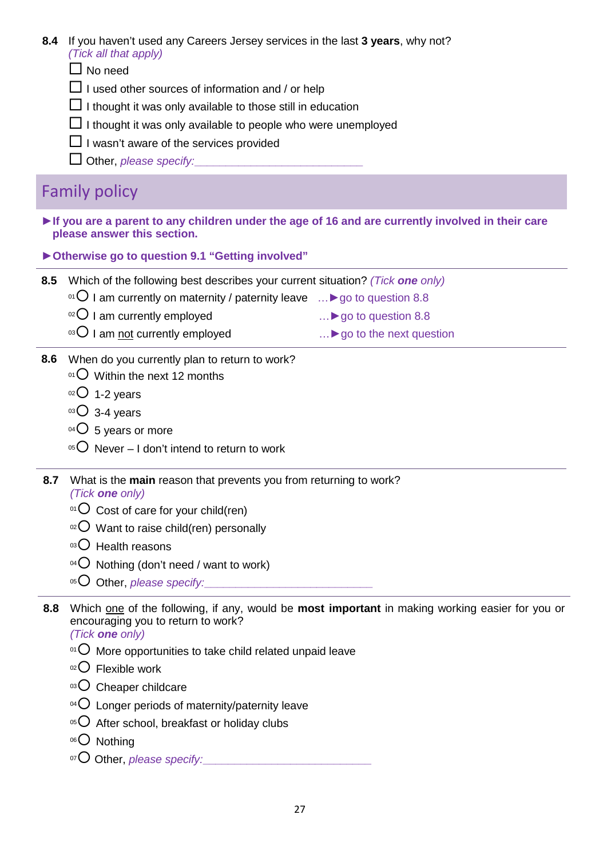- **8.4** If you haven't used any Careers Jersey services in the last **3 years**, why not? *(Tick all that apply)*
	- $\Box$  No need
	- $\Box$  I used other sources of information and / or help
	- $\Box$  I thought it was only available to those still in education
	- $\Box$  I thought it was only available to people who were unemployed
	- $\Box$  I wasn't aware of the services provided
	- Other, *please specify:***\_\_\_\_\_\_\_\_\_\_\_\_\_\_\_\_\_\_\_\_\_\_\_\_\_\_\_**

### Family policy

- **►If you are a parent to any children under the age of 16 and are currently involved in their care please answer this section.**
- **►Otherwise go to question 9.1 "Getting involved"**
- **8.5** Which of the following best describes your current situation? *(Tick one only)*
	- <sup>01</sup> I am currently on maternity / paternity leave …**►**go to question 8.8
	- <sup>o2</sup> I am currently employed in the matter of the matter of the matter of the matter of the matter of the matter of the matter of the matter of the matter of the matter of the matter of the matter of the matter of the mat
	- <sup>03</sup> I am not currently employed and mean and the next question
- **8.6** When do you currently plan to return to work?
	- $^{01}$  Within the next 12 months
	- $02$  1-2 years
	- $03 4$  years
	- $04$  5 years or more
	- $05$  Never I don't intend to return to work
- **8.7** What is the **main** reason that prevents you from returning to work? *(Tick one only)*
	- $01$  Cost of care for your child(ren)
	- $02$  Want to raise child(ren) personally
	- $03$  Health reasons
	- $04$  Nothing (don't need / want to work)
	- 05 Other, *please specify:*
- **8.8** Which one of the following, if any, would be **most important** in making working easier for you or encouraging you to return to work? **sample the following best describes your current situation?** (*Tick one only)*<br> **of the following best describes your current situation?** (*Tick one only)*<br> **am** currently on maternity / paternity leave .... ▶ go to ques

*(Tick one only)*

- $01$  More opportunities to take child related unpaid leave
- $02$  Flexible work
- 03 Cheaper childcare
- $^{04}$  Longer periods of maternity/paternity leave
- $05$  After school, breakfast or holiday clubs
- 06<sup>O</sup> Nothing
- <sup>07</sup> Other, *please specify:*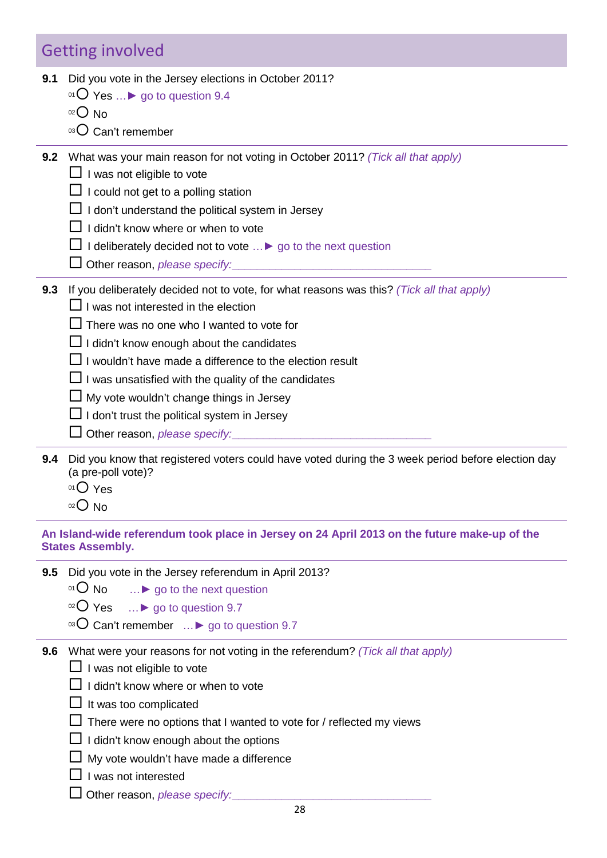## Getting involved

- **9.1** Did you vote in the Jersey elections in October 2011?
	- <sup>01</sup> Yes …**►** go to question 9.4
	- $02$  No
	- $03$  Can't remember
- **9.2** What was your main reason for not voting in October 2011? *(Tick all that apply)*
	- $\Box$  I was not eligible to vote
	- $\Box$  I could not get to a polling station
	- $\Box$  I don't understand the political system in Jersey
	- $\Box$  I didn't know where or when to vote
	- I deliberately decided not to vote …**►** go to the next question
	- Other reason, *please specify:***\_\_\_\_\_\_\_\_\_\_\_\_\_\_\_\_\_\_\_\_\_\_\_\_\_\_\_\_\_\_\_\_**
- **9.3** If you deliberately decided not to vote, for what reasons was this? *(Tick all that apply)*
	- $\Box$  I was not interested in the election
	- $\Box$  There was no one who I wanted to vote for
	- $\Box$  I didn't know enough about the candidates
	- $\square$  I wouldn't have made a difference to the election result
	- $\Box$  I was unsatisfied with the quality of the candidates
	- $\Box$  My vote wouldn't change things in Jersey
	- $\Box$  I don't trust the political system in Jersey
	- Other reason, *please specify:***\_\_\_\_\_\_\_\_\_\_\_\_\_\_\_\_\_\_\_\_\_\_\_\_\_\_\_\_\_\_\_\_**
- **9.4** Did you know that registered voters could have voted during the 3 week period before election day (a pre-poll vote)? **Exercised to the Control of the Control of the Control of the Control of the Control of the Control of the Control of the Control of the Control of the Control of the Sampley of the Belaction<br>
as not interested in the el** 
	- 01 Yes
	- $02$  No

**An Island-wide referendum took place in Jersey on 24 April 2013 on the future make-up of the States Assembly.** 

- **9.5** Did you vote in the Jersey referendum in April 2013?
	- <sup>01</sup> O No ∴ **⊳** go to the next question
	- <sup>02</sup> Yes …**►** go to question 9.7
	- <sup>03</sup> Can't remember …**►** go to question 9.7
- **9.6** What were your reasons for not voting in the referendum? *(Tick all that apply)*
	- $\Box$  I was not eligible to vote
	- $\Box$  I didn't know where or when to vote
	- $\Box$  It was too complicated
	- $\square$  There were no options that I wanted to vote for / reflected my views
	- $\Box$  I didn't know enough about the options
	- $\Box$  My vote wouldn't have made a difference
	- $\Box$  I was not interested
	- Other reason, *please specify:***\_\_\_\_\_\_\_\_\_\_\_\_\_\_\_\_\_\_\_\_\_\_\_\_\_\_\_\_\_\_\_\_**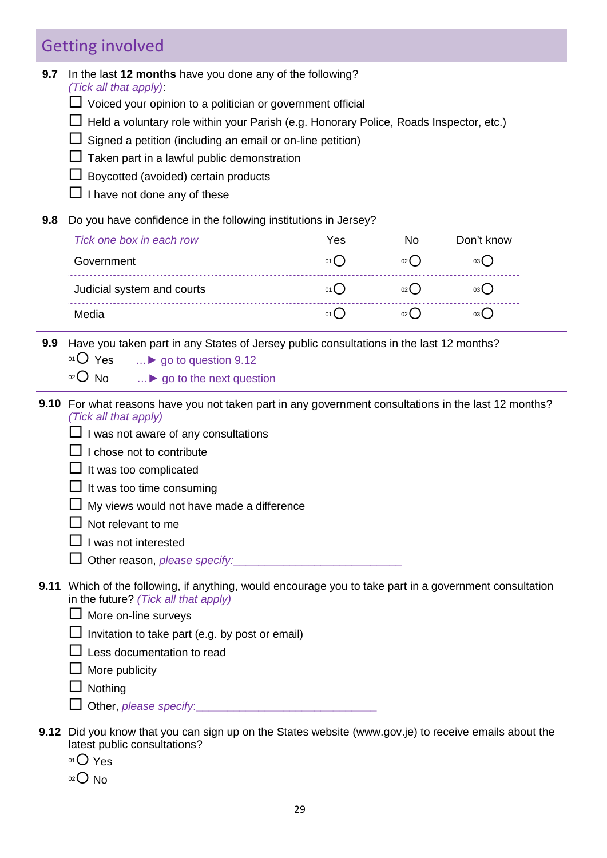# Getting involved

| In the last 12 months have you done any of the following?<br>(Tick all that apply):<br>$\Box$ Voiced your opinion to a politician or government official<br>Held a voluntary role within your Parish (e.g. Honorary Police, Roads Inspector, etc.)                            |                 |                                                            |                                                                                                                                                                                                                                                                                                                                                                                                                                                                                  |  |  |  |  |
|-------------------------------------------------------------------------------------------------------------------------------------------------------------------------------------------------------------------------------------------------------------------------------|-----------------|------------------------------------------------------------|----------------------------------------------------------------------------------------------------------------------------------------------------------------------------------------------------------------------------------------------------------------------------------------------------------------------------------------------------------------------------------------------------------------------------------------------------------------------------------|--|--|--|--|
| Taken part in a lawful public demonstration<br>Boycotted (avoided) certain products<br>I have not done any of these                                                                                                                                                           |                 |                                                            |                                                                                                                                                                                                                                                                                                                                                                                                                                                                                  |  |  |  |  |
|                                                                                                                                                                                                                                                                               |                 |                                                            |                                                                                                                                                                                                                                                                                                                                                                                                                                                                                  |  |  |  |  |
| Tick one box in each row                                                                                                                                                                                                                                                      | Yes             | No                                                         | Don't know                                                                                                                                                                                                                                                                                                                                                                                                                                                                       |  |  |  |  |
| Government                                                                                                                                                                                                                                                                    | 01              | 02                                                         | $03$ $\bigcap$                                                                                                                                                                                                                                                                                                                                                                                                                                                                   |  |  |  |  |
| Judicial system and courts                                                                                                                                                                                                                                                    | $01$ $\bigcirc$ | 02                                                         | $03$ <sup>O</sup>                                                                                                                                                                                                                                                                                                                                                                                                                                                                |  |  |  |  |
| Media                                                                                                                                                                                                                                                                         | $01$ $\bigcirc$ | 02                                                         | $03$ <sup>O</sup>                                                                                                                                                                                                                                                                                                                                                                                                                                                                |  |  |  |  |
| 01 Yes<br>$\ldots$ go to question 9.12<br>$O02$ No<br>▶ go to the next question                                                                                                                                                                                               |                 |                                                            |                                                                                                                                                                                                                                                                                                                                                                                                                                                                                  |  |  |  |  |
| (Tick all that apply)<br>I was not aware of any consultations<br>I chose not to contribute<br>It was too complicated<br>It was too time consuming<br>My views would not have made a difference<br>Not relevant to me<br>I was not interested<br>Other reason, please specify: |                 |                                                            |                                                                                                                                                                                                                                                                                                                                                                                                                                                                                  |  |  |  |  |
| in the future? (Tick all that apply)<br>More on-line surveys<br>Invitation to take part (e.g. by post or email)<br>Less documentation to read<br>$\perp$ More publicity<br>$\Box$ Nothing                                                                                     |                 |                                                            |                                                                                                                                                                                                                                                                                                                                                                                                                                                                                  |  |  |  |  |
|                                                                                                                                                                                                                                                                               |                 | Signed a petition (including an email or on-line petition) | Do you have confidence in the following institutions in Jersey?<br>Have you taken part in any States of Jersey public consultations in the last 12 months?<br>9.10 For what reasons have you not taken part in any government consultations in the last 12 months?<br>9.11 Which of the following, if anything, would encourage you to take part in a government consultation<br>Did you know that you gan gian up an the Ctates wabgite (www.govie) to resolve amoile about the |  |  |  |  |

- **9.12** Did you know that you can sign up on the States website (www.gov.je) to receive emails about the latest public consultations?
	- 01 Yes
	- $02$  No